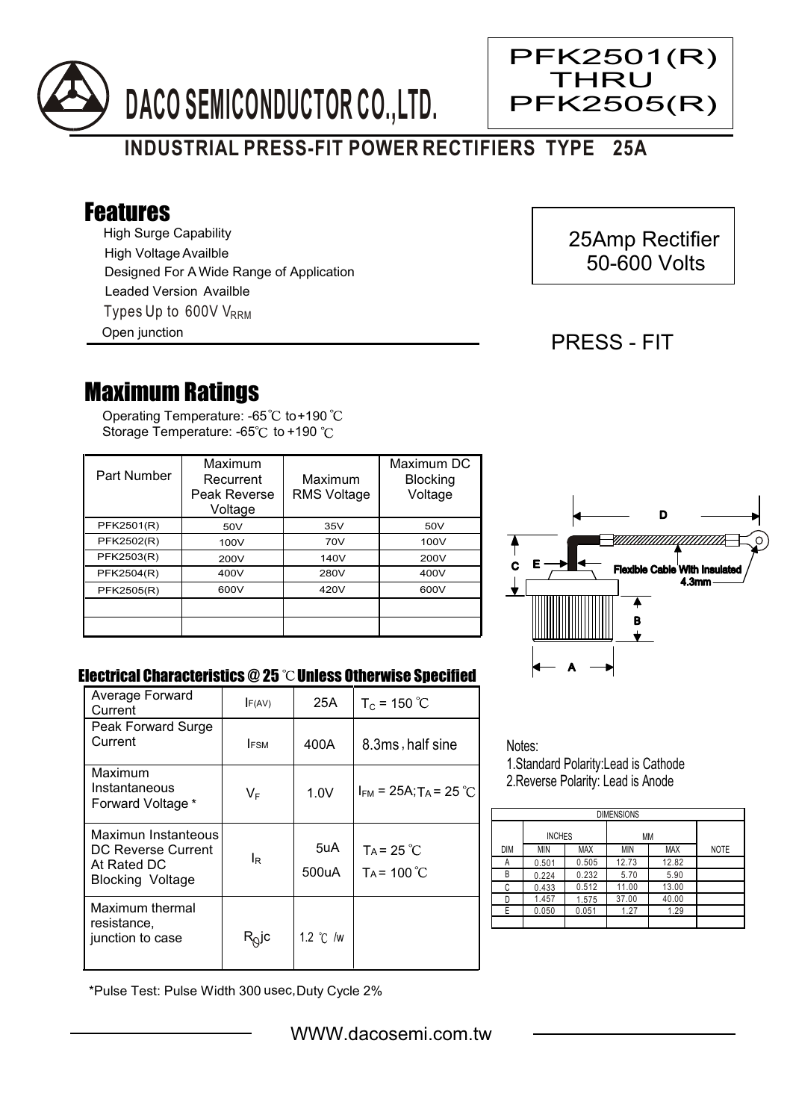

# **INDUSTRIAL PRESS-FIT POWER RECTIFIERS TYPE 25A**

## Features

High Surge Capability Types Up to 600V V<sub>RRM</sub> High Voltage Availble Designed For A Wide Range of Application Leaded Version Availble

Open junction

### 25Amp Rectifier 50-600 Volts

#### PRESS - FIT

Ξ

PFK2501(R) **THRU** PFK2505(R)

## Maximum Ratings

Operating Temperature: -65 $^\circ\text{C}$  to+190 Storage Temperature: -65°C to +190 °C

| Part Number | Maximum<br>Recurrent<br>Peak Reverse<br>Voltage | Maximum<br><b>RMS Voltage</b> | Maximum DC<br><b>Blocking</b><br>Voltage |
|-------------|-------------------------------------------------|-------------------------------|------------------------------------------|
| PFK2501(R)  | 50V                                             | 35V                           | 50V                                      |
| PFK2502(R)  | 100V                                            | 70V                           | 100V                                     |
| PFK2503(R)  | 200V                                            | 140V                          | 200V                                     |
| PFK2504(R)  | 400V                                            | 280V                          | 400V                                     |
| PFK2505(R)  | 600V                                            | 420V                          | 600V                                     |
|             |                                                 |                               |                                          |
|             |                                                 |                               |                                          |



#### Electrical Characteristics  $@25$   $^{\circ}\text{C}$  Unless Otherwise Specified

| Average Forward<br>Current                                                          | F(AV)             | 25A                | $T_c = 150 °C$                         |
|-------------------------------------------------------------------------------------|-------------------|--------------------|----------------------------------------|
| Peak Forward Surge<br>Current                                                       | <b>FSM</b>        | 400A               | 8.3ms, half sine                       |
| Maximum<br>Instantaneous<br>Forward Voltage *                                       | $V_F$             | 1.0V               | $I_{FM}$ = 25A; T <sub>A</sub> = 25 °C |
| Maximun Instanteous<br>DC Reverse Current<br>At Rated DC<br><b>Blocking Voltage</b> | ΙR                | 5uA<br>500uA       | $TA = 25^{\circ}C$<br>$Ta = 100 °C$    |
| Maximum thermal<br>resistance,<br>junction to case                                  | R <sub>∆</sub> jc | 1.2 $\degree$ C /w |                                        |

Notes: 1.Standard Polarity:Lead is Cathode

2.Reverse Polarity: Lead is Anode

| <b>DIMENSIONS</b> |               |            |       |            |             |  |  |  |
|-------------------|---------------|------------|-------|------------|-------------|--|--|--|
|                   | <b>INCHES</b> |            | ΜМ    |            |             |  |  |  |
| DIM               | MIN           | <b>MAX</b> | MIN   | <b>MAX</b> | <b>NOTE</b> |  |  |  |
| А                 | 0.501         | 0.505      | 12.73 | 12.82      |             |  |  |  |
| В                 | 0.224         | 0.232      | 5.70  | 5.90       |             |  |  |  |
| C                 | 0.433         | 0.512      | 11.00 | 13.00      |             |  |  |  |
|                   | 1.457         | 1.575      | 37.00 | 40.00      |             |  |  |  |
| F.                | 0.050         | 0.051      | 1.27  | 1.29       |             |  |  |  |
|                   |               |            |       |            |             |  |  |  |

\*Pulse Test: Pulse Width 300 usec,Duty Cycle 2%